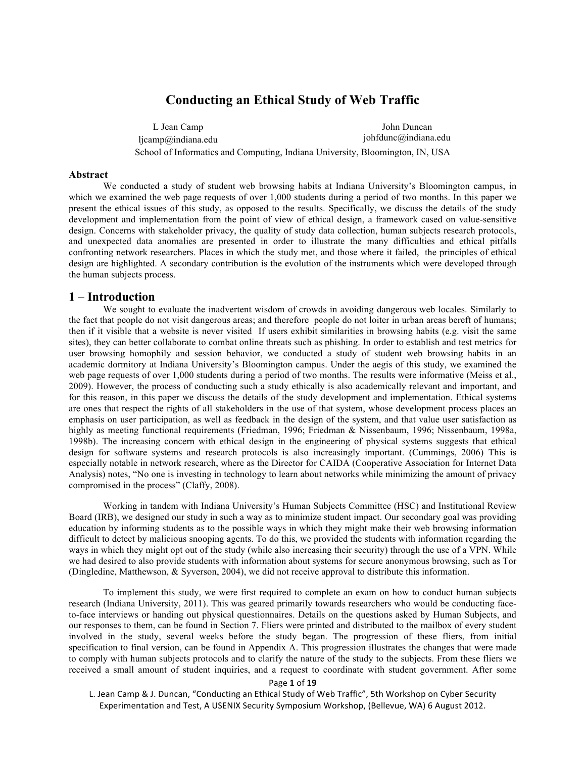# **Conducting an Ethical Study of Web Traffic**

L Jean Camp ljcamp@indiana.edu John Duncan johfdunc@indiana.edu School of Informatics and Computing, Indiana University, Bloomington, IN, USA

#### **Abstract**

We conducted a study of student web browsing habits at Indiana University's Bloomington campus, in which we examined the web page requests of over 1,000 students during a period of two months. In this paper we present the ethical issues of this study, as opposed to the results. Specifically, we discuss the details of the study development and implementation from the point of view of ethical design, a framework cased on value-sensitive design. Concerns with stakeholder privacy, the quality of study data collection, human subjects research protocols, and unexpected data anomalies are presented in order to illustrate the many difficulties and ethical pitfalls confronting network researchers. Places in which the study met, and those where it failed, the principles of ethical design are highlighted. A secondary contribution is the evolution of the instruments which were developed through the human subjects process.

## **1 – Introduction**

We sought to evaluate the inadvertent wisdom of crowds in avoiding dangerous web locales. Similarly to the fact that people do not visit dangerous areas; and therefore people do not loiter in urban areas bereft of humans; then if it visible that a website is never visited If users exhibit similarities in browsing habits (e.g. visit the same sites), they can better collaborate to combat online threats such as phishing. In order to establish and test metrics for user browsing homophily and session behavior, we conducted a study of student web browsing habits in an academic dormitory at Indiana University's Bloomington campus. Under the aegis of this study, we examined the web page requests of over 1,000 students during a period of two months. The results were informative (Meiss et al., 2009). However, the process of conducting such a study ethically is also academically relevant and important, and for this reason, in this paper we discuss the details of the study development and implementation. Ethical systems are ones that respect the rights of all stakeholders in the use of that system, whose development process places an emphasis on user participation, as well as feedback in the design of the system, and that value user satisfaction as highly as meeting functional requirements (Friedman, 1996; Friedman & Nissenbaum, 1996; Nissenbaum, 1998a, 1998b). The increasing concern with ethical design in the engineering of physical systems suggests that ethical design for software systems and research protocols is also increasingly important. (Cummings, 2006) This is especially notable in network research, where as the Director for CAIDA (Cooperative Association for Internet Data Analysis) notes, "No one is investing in technology to learn about networks while minimizing the amount of privacy compromised in the process" (Claffy, 2008).

Working in tandem with Indiana University's Human Subjects Committee (HSC) and Institutional Review Board (IRB), we designed our study in such a way as to minimize student impact. Our secondary goal was providing education by informing students as to the possible ways in which they might make their web browsing information difficult to detect by malicious snooping agents. To do this, we provided the students with information regarding the ways in which they might opt out of the study (while also increasing their security) through the use of a VPN. While we had desired to also provide students with information about systems for secure anonymous browsing, such as Tor (Dingledine, Matthewson, & Syverson, 2004), we did not receive approval to distribute this information.

To implement this study, we were first required to complete an exam on how to conduct human subjects research (Indiana University, 2011). This was geared primarily towards researchers who would be conducting faceto-face interviews or handing out physical questionnaires. Details on the questions asked by Human Subjects, and our responses to them, can be found in Section 7. Fliers were printed and distributed to the mailbox of every student involved in the study, several weeks before the study began. The progression of these fliers, from initial specification to final version, can be found in Appendix A. This progression illustrates the changes that were made to comply with human subjects protocols and to clarify the nature of the study to the subjects. From these fliers we received a small amount of student inquiries, and a request to coordinate with student government. After some

#### Page **1** of **19**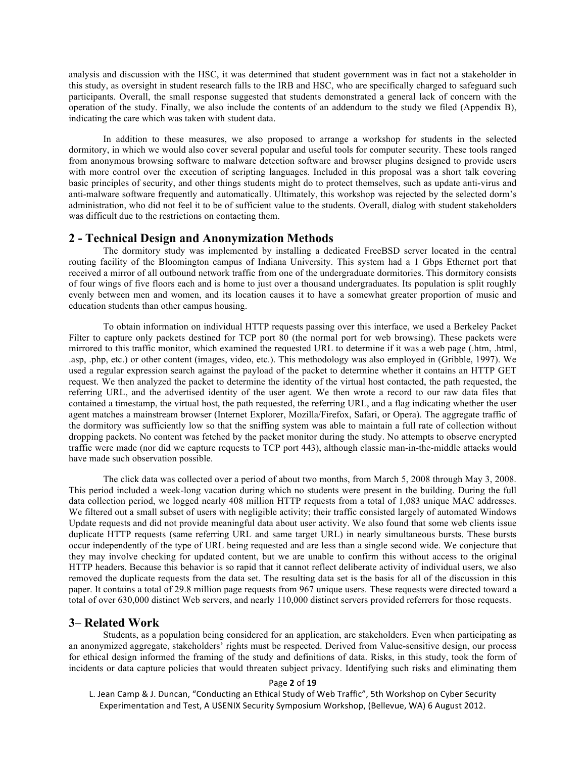analysis and discussion with the HSC, it was determined that student government was in fact not a stakeholder in this study, as oversight in student research falls to the IRB and HSC, who are specifically charged to safeguard such participants. Overall, the small response suggested that students demonstrated a general lack of concern with the operation of the study. Finally, we also include the contents of an addendum to the study we filed (Appendix B), indicating the care which was taken with student data.

In addition to these measures, we also proposed to arrange a workshop for students in the selected dormitory, in which we would also cover several popular and useful tools for computer security. These tools ranged from anonymous browsing software to malware detection software and browser plugins designed to provide users with more control over the execution of scripting languages. Included in this proposal was a short talk covering basic principles of security, and other things students might do to protect themselves, such as update anti-virus and anti-malware software frequently and automatically. Ultimately, this workshop was rejected by the selected dorm's administration, who did not feel it to be of sufficient value to the students. Overall, dialog with student stakeholders was difficult due to the restrictions on contacting them.

## **2 - Technical Design and Anonymization Methods**

The dormitory study was implemented by installing a dedicated FreeBSD server located in the central routing facility of the Bloomington campus of Indiana University. This system had a 1 Gbps Ethernet port that received a mirror of all outbound network traffic from one of the undergraduate dormitories. This dormitory consists of four wings of five floors each and is home to just over a thousand undergraduates. Its population is split roughly evenly between men and women, and its location causes it to have a somewhat greater proportion of music and education students than other campus housing.

To obtain information on individual HTTP requests passing over this interface, we used a Berkeley Packet Filter to capture only packets destined for TCP port 80 (the normal port for web browsing). These packets were mirrored to this traffic monitor, which examined the requested URL to determine if it was a web page (.htm, .html, .asp, .php, etc.) or other content (images, video, etc.). This methodology was also employed in (Gribble, 1997). We used a regular expression search against the payload of the packet to determine whether it contains an HTTP GET request. We then analyzed the packet to determine the identity of the virtual host contacted, the path requested, the referring URL, and the advertised identity of the user agent. We then wrote a record to our raw data files that contained a timestamp, the virtual host, the path requested, the referring URL, and a flag indicating whether the user agent matches a mainstream browser (Internet Explorer, Mozilla/Firefox, Safari, or Opera). The aggregate traffic of the dormitory was sufficiently low so that the sniffing system was able to maintain a full rate of collection without dropping packets. No content was fetched by the packet monitor during the study. No attempts to observe encrypted traffic were made (nor did we capture requests to TCP port 443), although classic man-in-the-middle attacks would have made such observation possible.

The click data was collected over a period of about two months, from March 5, 2008 through May 3, 2008. This period included a week-long vacation during which no students were present in the building. During the full data collection period, we logged nearly 408 million HTTP requests from a total of 1,083 unique MAC addresses. We filtered out a small subset of users with negligible activity; their traffic consisted largely of automated Windows Update requests and did not provide meaningful data about user activity. We also found that some web clients issue duplicate HTTP requests (same referring URL and same target URL) in nearly simultaneous bursts. These bursts occur independently of the type of URL being requested and are less than a single second wide. We conjecture that they may involve checking for updated content, but we are unable to confirm this without access to the original HTTP headers. Because this behavior is so rapid that it cannot reflect deliberate activity of individual users, we also removed the duplicate requests from the data set. The resulting data set is the basis for all of the discussion in this paper. It contains a total of 29.8 million page requests from 967 unique users. These requests were directed toward a total of over 630,000 distinct Web servers, and nearly 110,000 distinct servers provided referrers for those requests.

## **3– Related Work**

Students, as a population being considered for an application, are stakeholders. Even when participating as an anonymized aggregate, stakeholders' rights must be respected. Derived from Value-sensitive design, our process for ethical design informed the framing of the study and definitions of data. Risks, in this study, took the form of incidents or data capture policies that would threaten subject privacy. Identifying such risks and eliminating them

## Page **2** of **19**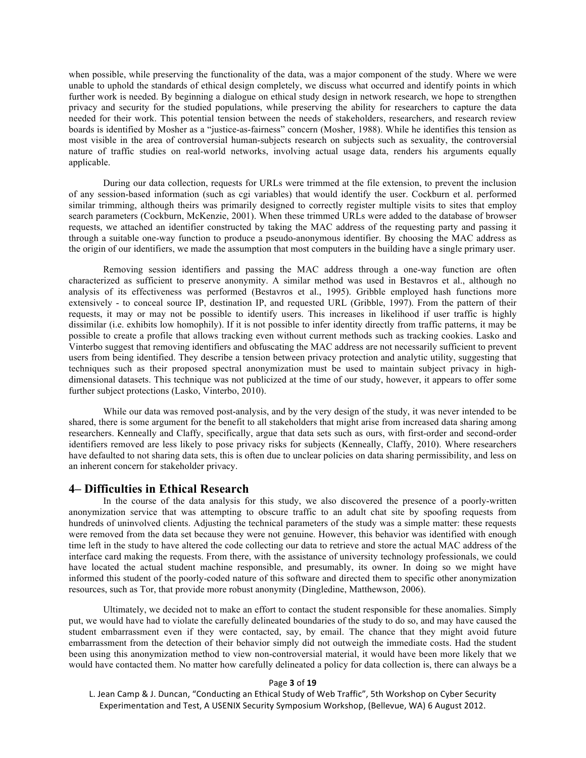when possible, while preserving the functionality of the data, was a major component of the study. Where we were unable to uphold the standards of ethical design completely, we discuss what occurred and identify points in which further work is needed. By beginning a dialogue on ethical study design in network research, we hope to strengthen privacy and security for the studied populations, while preserving the ability for researchers to capture the data needed for their work. This potential tension between the needs of stakeholders, researchers, and research review boards is identified by Mosher as a "justice-as-fairness" concern (Mosher, 1988). While he identifies this tension as most visible in the area of controversial human-subjects research on subjects such as sexuality, the controversial nature of traffic studies on real-world networks, involving actual usage data, renders his arguments equally applicable.

During our data collection, requests for URLs were trimmed at the file extension, to prevent the inclusion of any session-based information (such as cgi variables) that would identify the user. Cockburn et al. performed similar trimming, although theirs was primarily designed to correctly register multiple visits to sites that employ search parameters (Cockburn, McKenzie, 2001). When these trimmed URLs were added to the database of browser requests, we attached an identifier constructed by taking the MAC address of the requesting party and passing it through a suitable one-way function to produce a pseudo-anonymous identifier. By choosing the MAC address as the origin of our identifiers, we made the assumption that most computers in the building have a single primary user.

Removing session identifiers and passing the MAC address through a one-way function are often characterized as sufficient to preserve anonymity. A similar method was used in Bestavros et al., although no analysis of its effectiveness was performed (Bestavros et al., 1995). Gribble employed hash functions more extensively - to conceal source IP, destination IP, and requested URL (Gribble, 1997). From the pattern of their requests, it may or may not be possible to identify users. This increases in likelihood if user traffic is highly dissimilar (i.e. exhibits low homophily). If it is not possible to infer identity directly from traffic patterns, it may be possible to create a profile that allows tracking even without current methods such as tracking cookies. Lasko and Vinterbo suggest that removing identifiers and obfuscating the MAC address are not necessarily sufficient to prevent users from being identified. They describe a tension between privacy protection and analytic utility, suggesting that techniques such as their proposed spectral anonymization must be used to maintain subject privacy in highdimensional datasets. This technique was not publicized at the time of our study, however, it appears to offer some further subject protections (Lasko, Vinterbo, 2010).

While our data was removed post-analysis, and by the very design of the study, it was never intended to be shared, there is some argument for the benefit to all stakeholders that might arise from increased data sharing among researchers. Kenneally and Claffy, specifically, argue that data sets such as ours, with first-order and second-order identifiers removed are less likely to pose privacy risks for subjects (Kenneally, Claffy, 2010). Where researchers have defaulted to not sharing data sets, this is often due to unclear policies on data sharing permissibility, and less on an inherent concern for stakeholder privacy.

### **4– Difficulties in Ethical Research**

In the course of the data analysis for this study, we also discovered the presence of a poorly-written anonymization service that was attempting to obscure traffic to an adult chat site by spoofing requests from hundreds of uninvolved clients. Adjusting the technical parameters of the study was a simple matter: these requests were removed from the data set because they were not genuine. However, this behavior was identified with enough time left in the study to have altered the code collecting our data to retrieve and store the actual MAC address of the interface card making the requests. From there, with the assistance of university technology professionals, we could have located the actual student machine responsible, and presumably, its owner. In doing so we might have informed this student of the poorly-coded nature of this software and directed them to specific other anonymization resources, such as Tor, that provide more robust anonymity (Dingledine, Matthewson, 2006).

Ultimately, we decided not to make an effort to contact the student responsible for these anomalies. Simply put, we would have had to violate the carefully delineated boundaries of the study to do so, and may have caused the student embarrassment even if they were contacted, say, by email. The chance that they might avoid future embarrassment from the detection of their behavior simply did not outweigh the immediate costs. Had the student been using this anonymization method to view non-controversial material, it would have been more likely that we would have contacted them. No matter how carefully delineated a policy for data collection is, there can always be a

#### Page **3** of **19**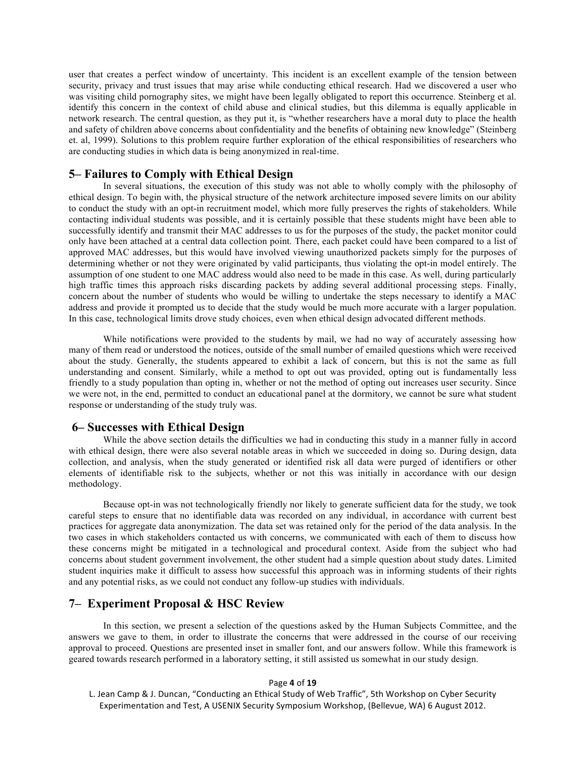user that creates a perfect window of uncertainty. This incident is an excellent example of the tension between security, privacy and trust issues that may arise while conducting ethical research. Had we discovered a user who was visiting child pornography sites, we might have been legally obligated to report this occurrence. Steinberg et al. identify this concern in the context of child abuse and clinical studies, but this dilemma is equally applicable in network research. The central question, as they put it, is "whether researchers have a moral duty to place the health and safety of children above concerns about confidentiality and the benefits of obtaining new knowledge" (Steinberg et. al, 1999). Solutions to this problem require further exploration of the ethical responsibilities of researchers who are conducting studies in which data is being anonymized in real-time.

## **5– Failures to Comply with Ethical Design**

In several situations, the execution of this study was not able to wholly comply with the philosophy of ethical design. To begin with, the physical structure of the network architecture imposed severe limits on our ability to conduct the study with an opt-in recruitment model, which more fully preserves the rights of stakeholders. While contacting individual students was possible, and it is certainly possible that these students might have been able to successfully identify and transmit their MAC addresses to us for the purposes of the study, the packet monitor could only have been attached at a central data collection point. There, each packet could have been compared to a list of approved MAC addresses, but this would have involved viewing unauthorized packets simply for the purposes of determining whether or not they were originated by valid participants, thus violating the opt-in model entirely. The assumption of one student to one MAC address would also need to be made in this case. As well, during particularly high traffic times this approach risks discarding packets by adding several additional processing steps. Finally, concern about the number of students who would be willing to undertake the steps necessary to identify a MAC address and provide it prompted us to decide that the study would be much more accurate with a larger population. In this case, technological limits drove study choices, even when ethical design advocated different methods.

While notifications were provided to the students by mail, we had no way of accurately assessing how many of them read or understood the notices, outside of the small number of emailed questions which were received about the study. Generally, the students appeared to exhibit a lack of concern, but this is not the same as full understanding and consent. Similarly, while a method to opt out was provided, opting out is fundamentally less friendly to a study population than opting in, whether or not the method of opting out increases user security. Since we were not, in the end, permitted to conduct an educational panel at the dormitory, we cannot be sure what student response or understanding of the study truly was.

## **6– Successes with Ethical Design**

While the above section details the difficulties we had in conducting this study in a manner fully in accord with ethical design, there were also several notable areas in which we succeeded in doing so. During design, data collection, and analysis, when the study generated or identified risk all data were purged of identifiers or other elements of identifiable risk to the subjects, whether or not this was initially in accordance with our design methodology.

Because opt-in was not technologically friendly nor likely to generate sufficient data for the study, we took careful steps to ensure that no identifiable data was recorded on any individual, in accordance with current best practices for aggregate data anonymization. The data set was retained only for the period of the data analysis. In the two cases in which stakeholders contacted us with concerns, we communicated with each of them to discuss how these concerns might be mitigated in a technological and procedural context. Aside from the subject who had concerns about student government involvement, the other student had a simple question about study dates. Limited student inquiries make it difficult to assess how successful this approach was in informing students of their rights and any potential risks, as we could not conduct any follow-up studies with individuals.

# **7– Experiment Proposal & HSC Review**

In this section, we present a selection of the questions asked by the Human Subjects Committee, and the answers we gave to them, in order to illustrate the concerns that were addressed in the course of our receiving approval to proceed. Questions are presented inset in smaller font, and our answers follow. While this framework is geared towards research performed in a laboratory setting, it still assisted us somewhat in our study design.

#### Page **4** of **19**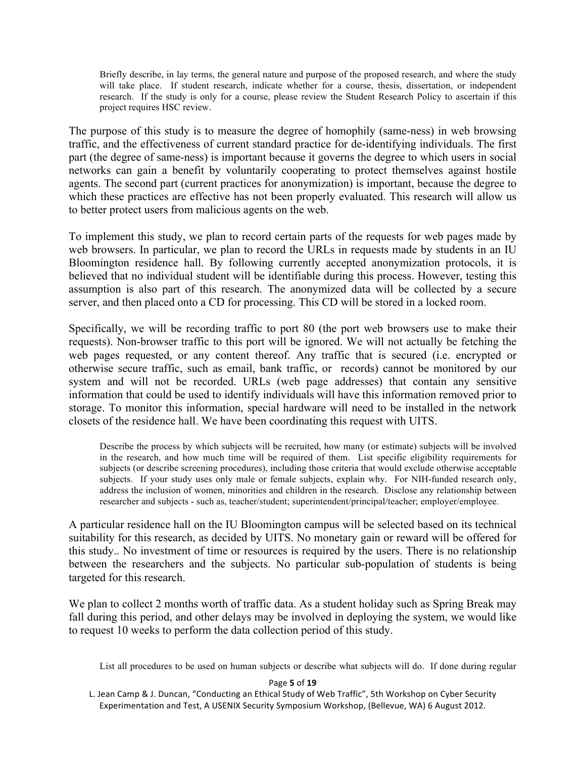Briefly describe, in lay terms, the general nature and purpose of the proposed research, and where the study will take place. If student research, indicate whether for a course, thesis, dissertation, or independent research. If the study is only for a course, please review the Student Research Policy to ascertain if this project requires HSC review.

The purpose of this study is to measure the degree of homophily (same-ness) in web browsing traffic, and the effectiveness of current standard practice for de-identifying individuals. The first part (the degree of same-ness) is important because it governs the degree to which users in social networks can gain a benefit by voluntarily cooperating to protect themselves against hostile agents. The second part (current practices for anonymization) is important, because the degree to which these practices are effective has not been properly evaluated. This research will allow us to better protect users from malicious agents on the web.

To implement this study, we plan to record certain parts of the requests for web pages made by web browsers. In particular, we plan to record the URLs in requests made by students in an IU Bloomington residence hall. By following currently accepted anonymization protocols, it is believed that no individual student will be identifiable during this process. However, testing this assumption is also part of this research. The anonymized data will be collected by a secure server, and then placed onto a CD for processing. This CD will be stored in a locked room.

Specifically, we will be recording traffic to port 80 (the port web browsers use to make their requests). Non-browser traffic to this port will be ignored. We will not actually be fetching the web pages requested, or any content thereof. Any traffic that is secured (i.e. encrypted or otherwise secure traffic, such as email, bank traffic, or records) cannot be monitored by our system and will not be recorded. URLs (web page addresses) that contain any sensitive information that could be used to identify individuals will have this information removed prior to storage. To monitor this information, special hardware will need to be installed in the network closets of the residence hall. We have been coordinating this request with UITS.

Describe the process by which subjects will be recruited, how many (or estimate) subjects will be involved in the research, and how much time will be required of them. List specific eligibility requirements for subjects (or describe screening procedures), including those criteria that would exclude otherwise acceptable subjects. If your study uses only male or female subjects, explain why. For NIH-funded research only, address the inclusion of women, minorities and children in the research. Disclose any relationship between researcher and subjects - such as, teacher/student; superintendent/principal/teacher; employer/employee.

A particular residence hall on the IU Bloomington campus will be selected based on its technical suitability for this research, as decided by UITS. No monetary gain or reward will be offered for this study.. No investment of time or resources is required by the users. There is no relationship between the researchers and the subjects. No particular sub-population of students is being targeted for this research.

We plan to collect 2 months worth of traffic data. As a student holiday such as Spring Break may fall during this period, and other delays may be involved in deploying the system, we would like to request 10 weeks to perform the data collection period of this study.

List all procedures to be used on human subjects or describe what subjects will do. If done during regular

## Page **5** of **19**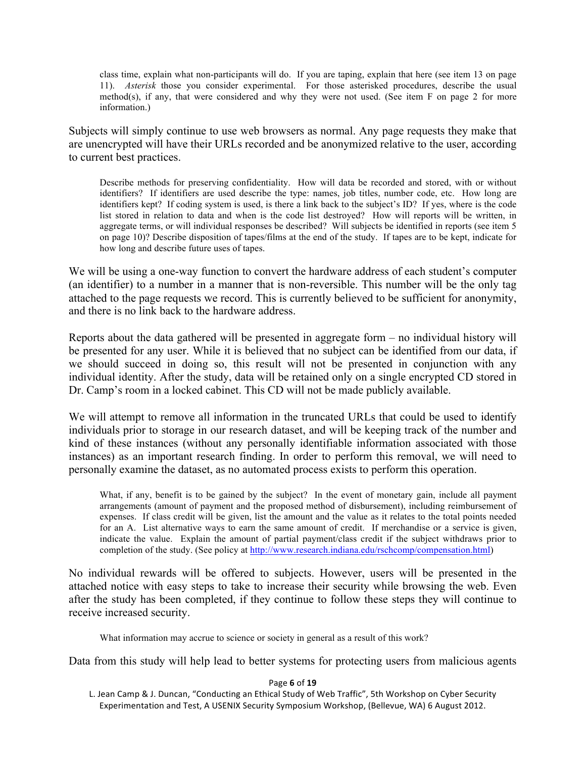class time, explain what non-participants will do. If you are taping, explain that here (see item 13 on page 11). *Asterisk* those you consider experimental. For those asterisked procedures, describe the usual method(s), if any, that were considered and why they were not used. (See item F on page 2 for more information.)

Subjects will simply continue to use web browsers as normal. Any page requests they make that are unencrypted will have their URLs recorded and be anonymized relative to the user, according to current best practices.

Describe methods for preserving confidentiality. How will data be recorded and stored, with or without identifiers? If identifiers are used describe the type: names, job titles, number code, etc. How long are identifiers kept? If coding system is used, is there a link back to the subject's ID? If yes, where is the code list stored in relation to data and when is the code list destroyed? How will reports will be written, in aggregate terms, or will individual responses be described? Will subjects be identified in reports (see item 5 on page 10)? Describe disposition of tapes/films at the end of the study. If tapes are to be kept, indicate for how long and describe future uses of tapes.

We will be using a one-way function to convert the hardware address of each student's computer (an identifier) to a number in a manner that is non-reversible. This number will be the only tag attached to the page requests we record. This is currently believed to be sufficient for anonymity, and there is no link back to the hardware address.

Reports about the data gathered will be presented in aggregate form – no individual history will be presented for any user. While it is believed that no subject can be identified from our data, if we should succeed in doing so, this result will not be presented in conjunction with any individual identity. After the study, data will be retained only on a single encrypted CD stored in Dr. Camp's room in a locked cabinet. This CD will not be made publicly available.

We will attempt to remove all information in the truncated URLs that could be used to identify individuals prior to storage in our research dataset, and will be keeping track of the number and kind of these instances (without any personally identifiable information associated with those instances) as an important research finding. In order to perform this removal, we will need to personally examine the dataset, as no automated process exists to perform this operation.

What, if any, benefit is to be gained by the subject? In the event of monetary gain, include all payment arrangements (amount of payment and the proposed method of disbursement), including reimbursement of expenses. If class credit will be given, list the amount and the value as it relates to the total points needed for an A. List alternative ways to earn the same amount of credit. If merchandise or a service is given, indicate the value. Explain the amount of partial payment/class credit if the subject withdraws prior to completion of the study. (See policy at http://www.research.indiana.edu/rschcomp/compensation.html)

No individual rewards will be offered to subjects. However, users will be presented in the attached notice with easy steps to take to increase their security while browsing the web. Even after the study has been completed, if they continue to follow these steps they will continue to receive increased security.

What information may accrue to science or society in general as a result of this work?

Data from this study will help lead to better systems for protecting users from malicious agents

## Page **6** of **19**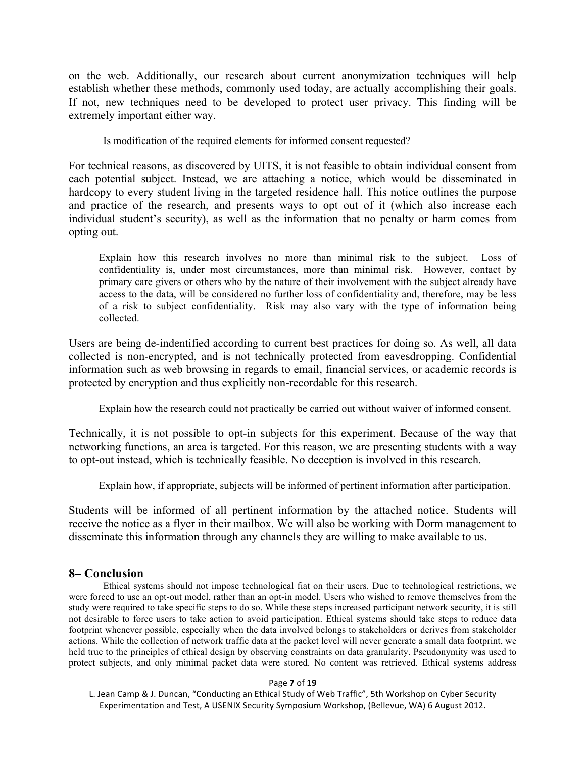on the web. Additionally, our research about current anonymization techniques will help establish whether these methods, commonly used today, are actually accomplishing their goals. If not, new techniques need to be developed to protect user privacy. This finding will be extremely important either way.

Is modification of the required elements for informed consent requested?

For technical reasons, as discovered by UITS, it is not feasible to obtain individual consent from each potential subject. Instead, we are attaching a notice, which would be disseminated in hardcopy to every student living in the targeted residence hall. This notice outlines the purpose and practice of the research, and presents ways to opt out of it (which also increase each individual student's security), as well as the information that no penalty or harm comes from opting out.

Explain how this research involves no more than minimal risk to the subject. Loss of confidentiality is, under most circumstances, more than minimal risk. However, contact by primary care givers or others who by the nature of their involvement with the subject already have access to the data, will be considered no further loss of confidentiality and, therefore, may be less of a risk to subject confidentiality. Risk may also vary with the type of information being collected.

Users are being de-indentified according to current best practices for doing so. As well, all data collected is non-encrypted, and is not technically protected from eavesdropping. Confidential information such as web browsing in regards to email, financial services, or academic records is protected by encryption and thus explicitly non-recordable for this research.

Explain how the research could not practically be carried out without waiver of informed consent.

Technically, it is not possible to opt-in subjects for this experiment. Because of the way that networking functions, an area is targeted. For this reason, we are presenting students with a way to opt-out instead, which is technically feasible. No deception is involved in this research.

Explain how, if appropriate, subjects will be informed of pertinent information after participation.

Students will be informed of all pertinent information by the attached notice. Students will receive the notice as a flyer in their mailbox. We will also be working with Dorm management to disseminate this information through any channels they are willing to make available to us.

## **8– Conclusion**

Ethical systems should not impose technological fiat on their users. Due to technological restrictions, we were forced to use an opt-out model, rather than an opt-in model. Users who wished to remove themselves from the study were required to take specific steps to do so. While these steps increased participant network security, it is still not desirable to force users to take action to avoid participation. Ethical systems should take steps to reduce data footprint whenever possible, especially when the data involved belongs to stakeholders or derives from stakeholder actions. While the collection of network traffic data at the packet level will never generate a small data footprint, we held true to the principles of ethical design by observing constraints on data granularity. Pseudonymity was used to protect subjects, and only minimal packet data were stored. No content was retrieved. Ethical systems address

## Page **7** of **19**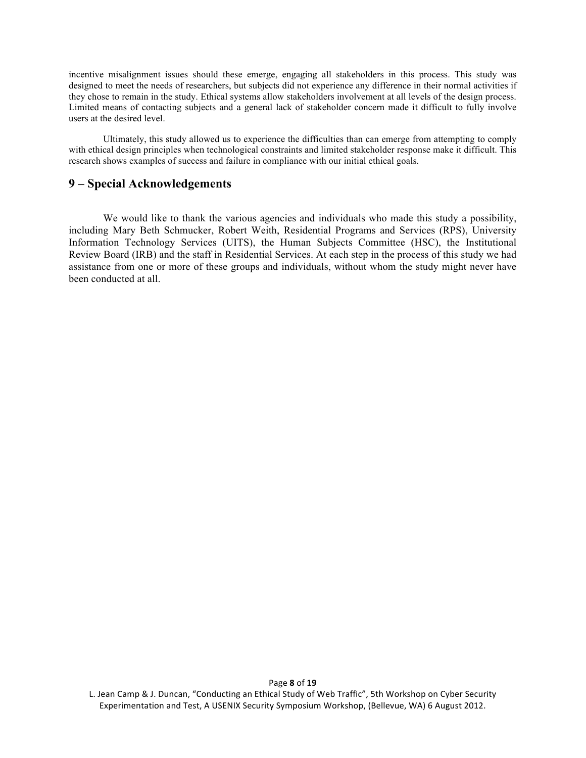incentive misalignment issues should these emerge, engaging all stakeholders in this process. This study was designed to meet the needs of researchers, but subjects did not experience any difference in their normal activities if they chose to remain in the study. Ethical systems allow stakeholders involvement at all levels of the design process. Limited means of contacting subjects and a general lack of stakeholder concern made it difficult to fully involve users at the desired level.

Ultimately, this study allowed us to experience the difficulties than can emerge from attempting to comply with ethical design principles when technological constraints and limited stakeholder response make it difficult. This research shows examples of success and failure in compliance with our initial ethical goals.

# **9 – Special Acknowledgements**

We would like to thank the various agencies and individuals who made this study a possibility, including Mary Beth Schmucker, Robert Weith, Residential Programs and Services (RPS), University Information Technology Services (UITS), the Human Subjects Committee (HSC), the Institutional Review Board (IRB) and the staff in Residential Services. At each step in the process of this study we had assistance from one or more of these groups and individuals, without whom the study might never have been conducted at all.

L. Jean Camp & J. Duncan, "Conducting an Ethical Study of Web Traffic", 5th Workshop on Cyber Security Experimentation and Test, A USENIX Security Symposium Workshop, (Bellevue, WA) 6 August 2012.

Page **8** of **19**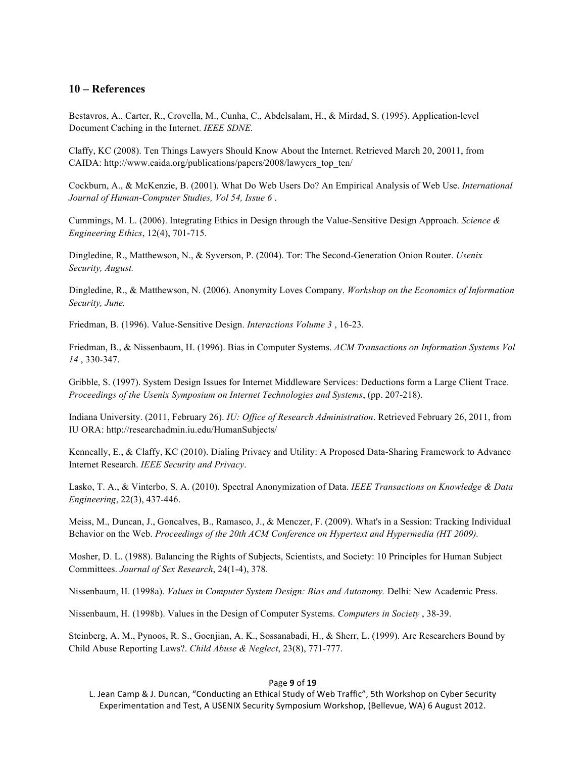## **10 – References**

Bestavros, A., Carter, R., Crovella, M., Cunha, C., Abdelsalam, H., & Mirdad, S. (1995). Application-level Document Caching in the Internet. *IEEE SDNE.*

Claffy, KC (2008). Ten Things Lawyers Should Know About the Internet. Retrieved March 20, 20011, from CAIDA: http://www.caida.org/publications/papers/2008/lawyers\_top\_ten/

Cockburn, A., & McKenzie, B. (2001). What Do Web Users Do? An Empirical Analysis of Web Use. *International Journal of Human-Computer Studies, Vol 54, Issue 6* .

Cummings, M. L. (2006). Integrating Ethics in Design through the Value-Sensitive Design Approach. *Science & Engineering Ethics*, 12(4), 701-715.

Dingledine, R., Matthewson, N., & Syverson, P. (2004). Tor: The Second-Generation Onion Router. *Usenix Security, August.*

Dingledine, R., & Matthewson, N. (2006). Anonymity Loves Company. *Workshop on the Economics of Information Security, June.*

Friedman, B. (1996). Value-Sensitive Design. *Interactions Volume 3* , 16-23.

Friedman, B., & Nissenbaum, H. (1996). Bias in Computer Systems. *ACM Transactions on Information Systems Vol 14* , 330-347.

Gribble, S. (1997). System Design Issues for Internet Middleware Services: Deductions form a Large Client Trace. *Proceedings of the Usenix Symposium on Internet Technologies and Systems*, (pp. 207-218).

Indiana University. (2011, February 26). *IU: Office of Research Administration*. Retrieved February 26, 2011, from IU ORA: http://researchadmin.iu.edu/HumanSubjects/

Kenneally, E., & Claffy, KC (2010). Dialing Privacy and Utility: A Proposed Data-Sharing Framework to Advance Internet Research. *IEEE Security and Privacy*.

Lasko, T. A., & Vinterbo, S. A. (2010). Spectral Anonymization of Data. *IEEE Transactions on Knowledge & Data Engineering*, 22(3), 437-446.

Meiss, M., Duncan, J., Goncalves, B., Ramasco, J., & Menczer, F. (2009). What's in a Session: Tracking Individual Behavior on the Web. *Proceedings of the 20th ACM Conference on Hypertext and Hypermedia (HT 2009).*

Mosher, D. L. (1988). Balancing the Rights of Subjects, Scientists, and Society: 10 Principles for Human Subject Committees. *Journal of Sex Research*, 24(1-4), 378.

Nissenbaum, H. (1998a). *Values in Computer System Design: Bias and Autonomy.* Delhi: New Academic Press.

Nissenbaum, H. (1998b). Values in the Design of Computer Systems. *Computers in Society* , 38-39.

Steinberg, A. M., Pynoos, R. S., Goenjian, A. K., Sossanabadi, H., & Sherr, L. (1999). Are Researchers Bound by Child Abuse Reporting Laws?. *Child Abuse & Neglect*, 23(8), 771-777.

#### Page **9** of **19**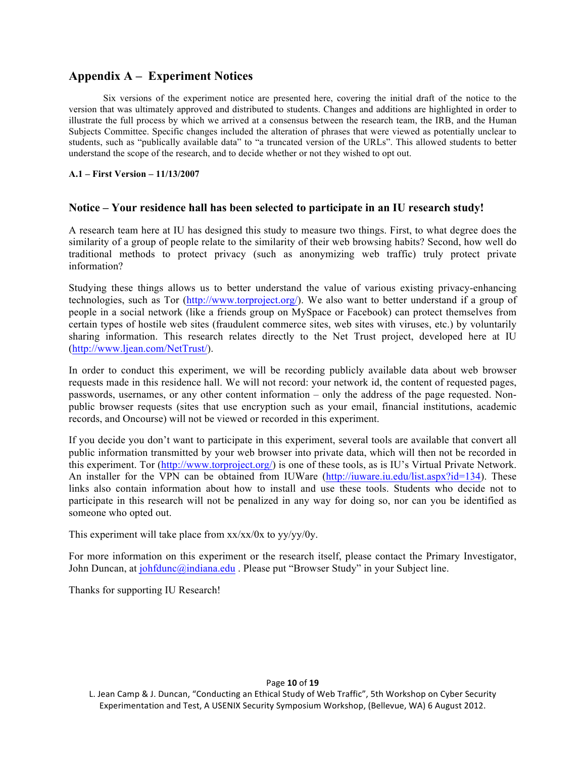# **Appendix A – Experiment Notices**

Six versions of the experiment notice are presented here, covering the initial draft of the notice to the version that was ultimately approved and distributed to students. Changes and additions are highlighted in order to illustrate the full process by which we arrived at a consensus between the research team, the IRB, and the Human Subjects Committee. Specific changes included the alteration of phrases that were viewed as potentially unclear to students, such as "publically available data" to "a truncated version of the URLs". This allowed students to better understand the scope of the research, and to decide whether or not they wished to opt out.

**A.1 – First Version – 11/13/2007**

## **Notice – Your residence hall has been selected to participate in an IU research study!**

A research team here at IU has designed this study to measure two things. First, to what degree does the similarity of a group of people relate to the similarity of their web browsing habits? Second, how well do traditional methods to protect privacy (such as anonymizing web traffic) truly protect private information?

Studying these things allows us to better understand the value of various existing privacy-enhancing technologies, such as Tor (http://www.torproject.org/). We also want to better understand if a group of people in a social network (like a friends group on MySpace or Facebook) can protect themselves from certain types of hostile web sites (fraudulent commerce sites, web sites with viruses, etc.) by voluntarily sharing information. This research relates directly to the Net Trust project, developed here at IU (http://www.ljean.com/NetTrust/).

In order to conduct this experiment, we will be recording publicly available data about web browser requests made in this residence hall. We will not record: your network id, the content of requested pages, passwords, usernames, or any other content information – only the address of the page requested. Nonpublic browser requests (sites that use encryption such as your email, financial institutions, academic records, and Oncourse) will not be viewed or recorded in this experiment.

If you decide you don't want to participate in this experiment, several tools are available that convert all public information transmitted by your web browser into private data, which will then not be recorded in this experiment. Tor (http://www.torproject.org/) is one of these tools, as is IU's Virtual Private Network. An installer for the VPN can be obtained from IUWare (http://iuware.iu.edu/list.aspx?id=134). These links also contain information about how to install and use these tools. Students who decide not to participate in this research will not be penalized in any way for doing so, nor can you be identified as someone who opted out.

This experiment will take place from xx/xx/0x to yy/yy/0y.

For more information on this experiment or the research itself, please contact the Primary Investigator, John Duncan, at johfdunc@indiana.edu . Please put "Browser Study" in your Subject line.

Thanks for supporting IU Research!

## Page **10** of **19**

L. Jean Camp & J. Duncan, "Conducting an Ethical Study of Web Traffic", 5th Workshop on Cyber Security Experimentation and Test, A USENIX Security Symposium Workshop, (Bellevue, WA) 6 August 2012.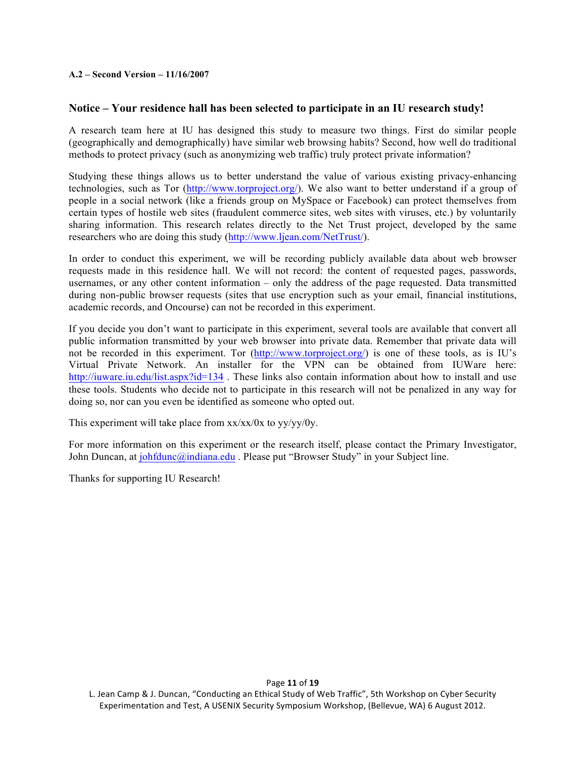## **A.2 – Second Version – 11/16/2007**

## **Notice – Your residence hall has been selected to participate in an IU research study!**

A research team here at IU has designed this study to measure two things. First do similar people (geographically and demographically) have similar web browsing habits? Second, how well do traditional methods to protect privacy (such as anonymizing web traffic) truly protect private information?

Studying these things allows us to better understand the value of various existing privacy-enhancing technologies, such as Tor (http://www.torproject.org/). We also want to better understand if a group of people in a social network (like a friends group on MySpace or Facebook) can protect themselves from certain types of hostile web sites (fraudulent commerce sites, web sites with viruses, etc.) by voluntarily sharing information. This research relates directly to the Net Trust project, developed by the same researchers who are doing this study (http://www.ljean.com/NetTrust/).

In order to conduct this experiment, we will be recording publicly available data about web browser requests made in this residence hall. We will not record: the content of requested pages, passwords, usernames, or any other content information – only the address of the page requested. Data transmitted during non-public browser requests (sites that use encryption such as your email, financial institutions, academic records, and Oncourse) can not be recorded in this experiment.

If you decide you don't want to participate in this experiment, several tools are available that convert all public information transmitted by your web browser into private data. Remember that private data will not be recorded in this experiment. Tor (http://www.torproject.org/) is one of these tools, as is IU's Virtual Private Network. An installer for the VPN can be obtained from IUWare here: http://iuware.iu.edu/list.aspx?id=134. These links also contain information about how to install and use these tools. Students who decide not to participate in this research will not be penalized in any way for doing so, nor can you even be identified as someone who opted out.

This experiment will take place from  $xx/xx/0x$  to  $yy/yy/0y$ .

For more information on this experiment or the research itself, please contact the Primary Investigator, John Duncan, at johfdunc@indiana.edu . Please put "Browser Study" in your Subject line.

Thanks for supporting IU Research!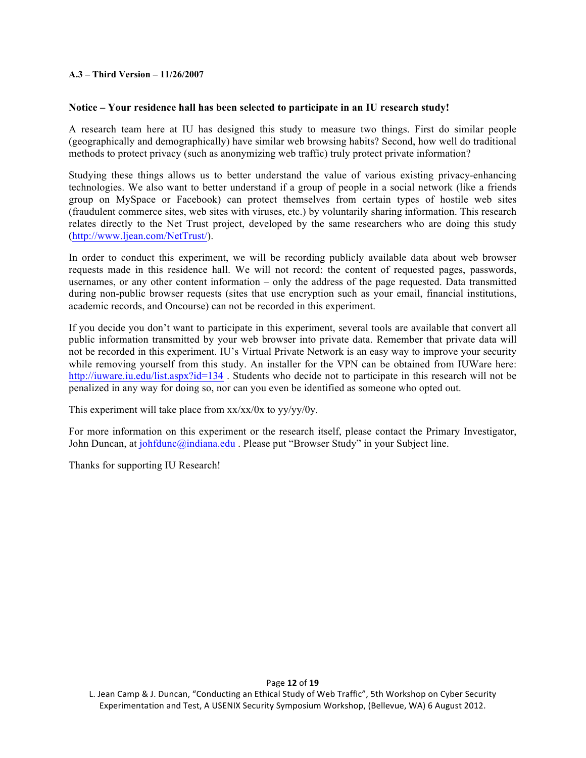## **A.3 – Third Version – 11/26/2007**

## **Notice – Your residence hall has been selected to participate in an IU research study!**

A research team here at IU has designed this study to measure two things. First do similar people (geographically and demographically) have similar web browsing habits? Second, how well do traditional methods to protect privacy (such as anonymizing web traffic) truly protect private information?

Studying these things allows us to better understand the value of various existing privacy-enhancing technologies. We also want to better understand if a group of people in a social network (like a friends group on MySpace or Facebook) can protect themselves from certain types of hostile web sites (fraudulent commerce sites, web sites with viruses, etc.) by voluntarily sharing information. This research relates directly to the Net Trust project, developed by the same researchers who are doing this study (http://www.ljean.com/NetTrust/).

In order to conduct this experiment, we will be recording publicly available data about web browser requests made in this residence hall. We will not record: the content of requested pages, passwords, usernames, or any other content information – only the address of the page requested. Data transmitted during non-public browser requests (sites that use encryption such as your email, financial institutions, academic records, and Oncourse) can not be recorded in this experiment.

If you decide you don't want to participate in this experiment, several tools are available that convert all public information transmitted by your web browser into private data. Remember that private data will not be recorded in this experiment. IU's Virtual Private Network is an easy way to improve your security while removing yourself from this study. An installer for the VPN can be obtained from IUWare here: http://iuware.iu.edu/list.aspx?id=134. Students who decide not to participate in this research will not be penalized in any way for doing so, nor can you even be identified as someone who opted out.

This experiment will take place from xx/xx/0x to yy/yy/0y.

For more information on this experiment or the research itself, please contact the Primary Investigator, John Duncan, at johfdunc@indiana.edu . Please put "Browser Study" in your Subject line.

Thanks for supporting IU Research!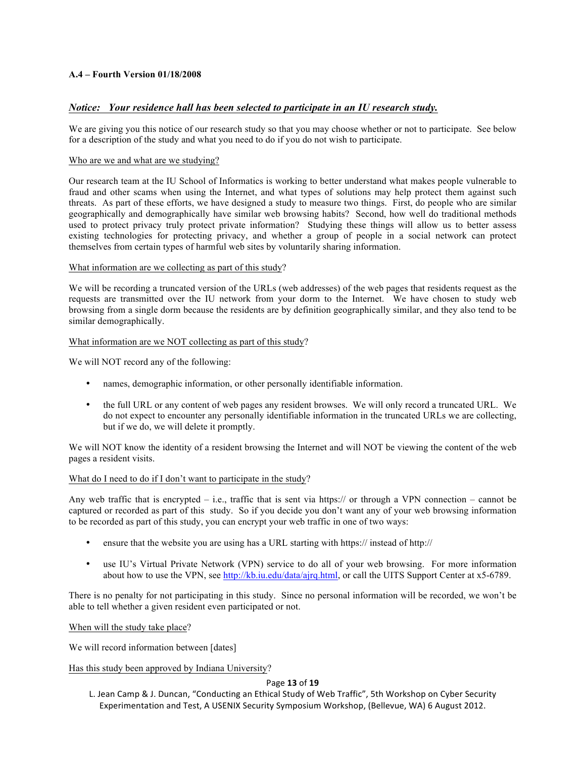## **A.4 – Fourth Version 01/18/2008**

## *Notice: Your residence hall has been selected to participate in an IU research study.*

We are giving you this notice of our research study so that you may choose whether or not to participate. See below for a description of the study and what you need to do if you do not wish to participate.

#### Who are we and what are we studying?

Our research team at the IU School of Informatics is working to better understand what makes people vulnerable to fraud and other scams when using the Internet, and what types of solutions may help protect them against such threats. As part of these efforts, we have designed a study to measure two things. First, do people who are similar geographically and demographically have similar web browsing habits? Second, how well do traditional methods used to protect privacy truly protect private information? Studying these things will allow us to better assess existing technologies for protecting privacy, and whether a group of people in a social network can protect themselves from certain types of harmful web sites by voluntarily sharing information.

#### What information are we collecting as part of this study?

We will be recording a truncated version of the URLs (web addresses) of the web pages that residents request as the requests are transmitted over the IU network from your dorm to the Internet. We have chosen to study web browsing from a single dorm because the residents are by definition geographically similar, and they also tend to be similar demographically.

#### What information are we NOT collecting as part of this study?

We will NOT record any of the following:

- names, demographic information, or other personally identifiable information.
- the full URL or any content of web pages any resident browses. We will only record a truncated URL. We do not expect to encounter any personally identifiable information in the truncated URLs we are collecting, but if we do, we will delete it promptly.

We will NOT know the identity of a resident browsing the Internet and will NOT be viewing the content of the web pages a resident visits.

#### What do I need to do if I don't want to participate in the study?

Any web traffic that is encrypted  $-$  i.e., traffic that is sent via https:// or through a VPN connection – cannot be captured or recorded as part of this study. So if you decide you don't want any of your web browsing information to be recorded as part of this study, you can encrypt your web traffic in one of two ways:

- ensure that the website you are using has a URL starting with https:// instead of http://
- use IU's Virtual Private Network (VPN) service to do all of your web browsing. For more information about how to use the VPN, see http://kb.iu.edu/data/ajrq.html, or call the UITS Support Center at x5-6789.

There is no penalty for not participating in this study. Since no personal information will be recorded, we won't be able to tell whether a given resident even participated or not.

When will the study take place?

We will record information between [dates]

## Has this study been approved by Indiana University?

#### Page **13** of **19**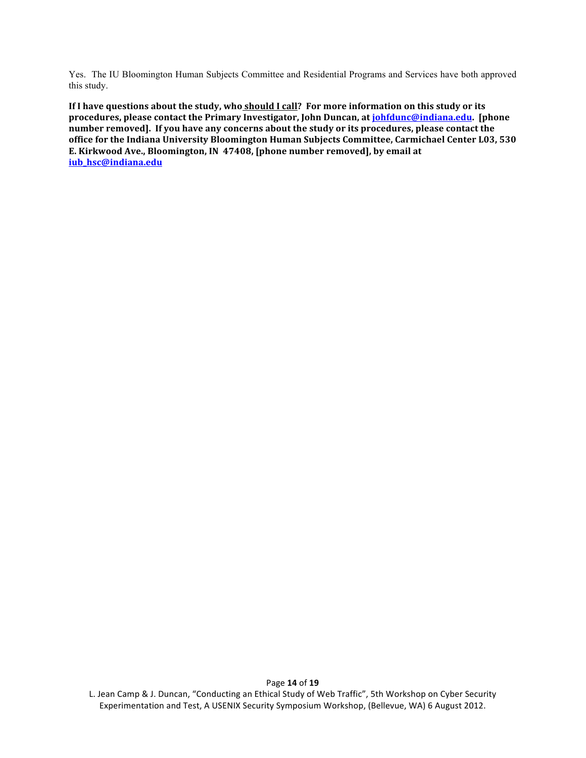Yes. The IU Bloomington Human Subjects Committee and Residential Programs and Services have both approved this study.

**If I have questions about the study, who should I call? For more information on this study or its** procedures, please contact the Primary Investigator, John Duncan, at *johfdunc@indiana.edu*. [phone number removed]. If you have any concerns about the study or its procedures, please contact the office for the Indiana University Bloomington Human Subjects Committee, Carmichael Center L03, 530 E. Kirkwood Ave., Bloomington, IN 47408, [phone number removed], by email at **iub\_hsc@indiana.edu**

L. Jean Camp & J. Duncan, "Conducting an Ethical Study of Web Traffic", 5th Workshop on Cyber Security Experimentation and Test, A USENIX Security Symposium Workshop, (Bellevue, WA) 6 August 2012.

Page **14** of **19**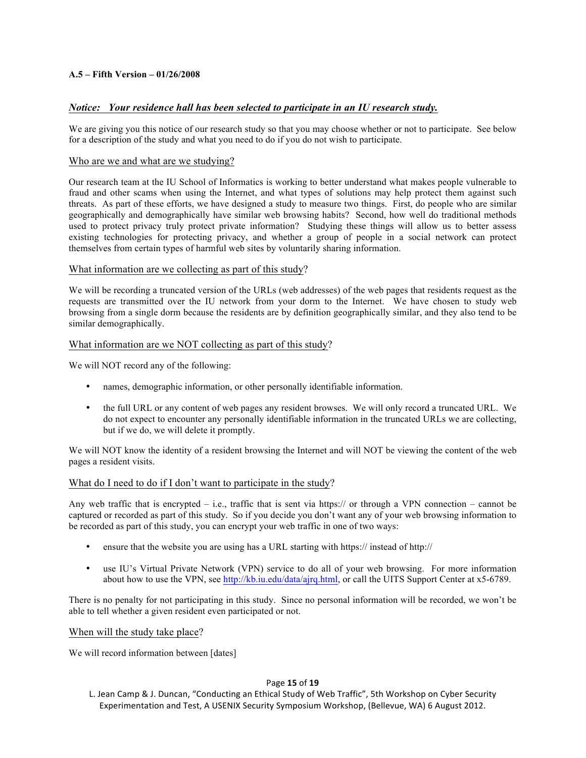## **A.5 – Fifth Version – 01/26/2008**

## *Notice: Your residence hall has been selected to participate in an IU research study.*

We are giving you this notice of our research study so that you may choose whether or not to participate. See below for a description of the study and what you need to do if you do not wish to participate.

#### Who are we and what are we studying?

Our research team at the IU School of Informatics is working to better understand what makes people vulnerable to fraud and other scams when using the Internet, and what types of solutions may help protect them against such threats. As part of these efforts, we have designed a study to measure two things. First, do people who are similar geographically and demographically have similar web browsing habits? Second, how well do traditional methods used to protect privacy truly protect private information? Studying these things will allow us to better assess existing technologies for protecting privacy, and whether a group of people in a social network can protect themselves from certain types of harmful web sites by voluntarily sharing information.

## What information are we collecting as part of this study?

We will be recording a truncated version of the URLs (web addresses) of the web pages that residents request as the requests are transmitted over the IU network from your dorm to the Internet. We have chosen to study web browsing from a single dorm because the residents are by definition geographically similar, and they also tend to be similar demographically.

## What information are we NOT collecting as part of this study?

We will NOT record any of the following:

- names, demographic information, or other personally identifiable information.
- the full URL or any content of web pages any resident browses. We will only record a truncated URL. We do not expect to encounter any personally identifiable information in the truncated URLs we are collecting, but if we do, we will delete it promptly.

We will NOT know the identity of a resident browsing the Internet and will NOT be viewing the content of the web pages a resident visits.

## What do I need to do if I don't want to participate in the study?

Any web traffic that is encrypted  $-$  i.e., traffic that is sent via https:// or through a VPN connection – cannot be captured or recorded as part of this study. So if you decide you don't want any of your web browsing information to be recorded as part of this study, you can encrypt your web traffic in one of two ways:

- ensure that the website you are using has a URL starting with https:// instead of http://
- use IU's Virtual Private Network (VPN) service to do all of your web browsing. For more information about how to use the VPN, see http://kb.iu.edu/data/ajrq.html, or call the UITS Support Center at x5-6789.

There is no penalty for not participating in this study. Since no personal information will be recorded, we won't be able to tell whether a given resident even participated or not.

#### When will the study take place?

We will record information between [dates]

#### Page **15** of **19**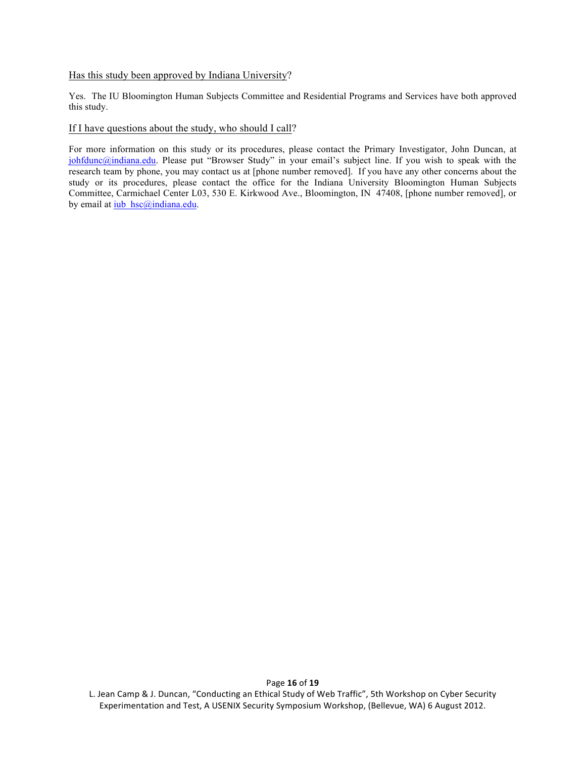#### Has this study been approved by Indiana University?

Yes. The IU Bloomington Human Subjects Committee and Residential Programs and Services have both approved this study.

#### If I have questions about the study, who should I call?

For more information on this study or its procedures, please contact the Primary Investigator, John Duncan, at johfdunc@indiana.edu. Please put "Browser Study" in your email's subject line. If you wish to speak with the research team by phone, you may contact us at [phone number removed]. If you have any other concerns about the study or its procedures, please contact the office for the Indiana University Bloomington Human Subjects Committee, Carmichael Center L03, 530 E. Kirkwood Ave., Bloomington, IN 47408, [phone number removed], or by email at iub\_hsc@indiana.edu.

L. Jean Camp & J. Duncan, "Conducting an Ethical Study of Web Traffic", 5th Workshop on Cyber Security Experimentation and Test, A USENIX Security Symposium Workshop, (Bellevue, WA) 6 August 2012.

Page **16** of **19**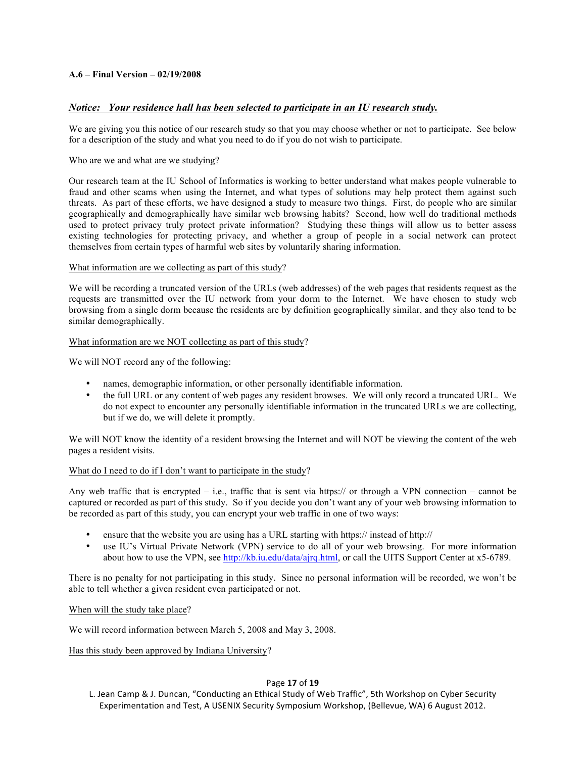## **A.6 – Final Version – 02/19/2008**

## *Notice: Your residence hall has been selected to participate in an IU research study.*

We are giving you this notice of our research study so that you may choose whether or not to participate. See below for a description of the study and what you need to do if you do not wish to participate.

#### Who are we and what are we studying?

Our research team at the IU School of Informatics is working to better understand what makes people vulnerable to fraud and other scams when using the Internet, and what types of solutions may help protect them against such threats. As part of these efforts, we have designed a study to measure two things. First, do people who are similar geographically and demographically have similar web browsing habits? Second, how well do traditional methods used to protect privacy truly protect private information? Studying these things will allow us to better assess existing technologies for protecting privacy, and whether a group of people in a social network can protect themselves from certain types of harmful web sites by voluntarily sharing information.

#### What information are we collecting as part of this study?

We will be recording a truncated version of the URLs (web addresses) of the web pages that residents request as the requests are transmitted over the IU network from your dorm to the Internet. We have chosen to study web browsing from a single dorm because the residents are by definition geographically similar, and they also tend to be similar demographically.

#### What information are we NOT collecting as part of this study?

We will NOT record any of the following:

- names, demographic information, or other personally identifiable information.
- the full URL or any content of web pages any resident browses. We will only record a truncated URL. We do not expect to encounter any personally identifiable information in the truncated URLs we are collecting, but if we do, we will delete it promptly.

We will NOT know the identity of a resident browsing the Internet and will NOT be viewing the content of the web pages a resident visits.

#### What do I need to do if I don't want to participate in the study?

Any web traffic that is encrypted  $-$  i.e., traffic that is sent via https:// or through a VPN connection – cannot be captured or recorded as part of this study. So if you decide you don't want any of your web browsing information to be recorded as part of this study, you can encrypt your web traffic in one of two ways:

- ensure that the website you are using has a URL starting with https:// instead of http://
- use IU's Virtual Private Network (VPN) service to do all of your web browsing. For more information about how to use the VPN, see http://kb.iu.edu/data/ajrq.html, or call the UITS Support Center at x5-6789.

There is no penalty for not participating in this study. Since no personal information will be recorded, we won't be able to tell whether a given resident even participated or not.

## When will the study take place?

We will record information between March 5, 2008 and May 3, 2008.

Has this study been approved by Indiana University?

#### Page **17** of **19**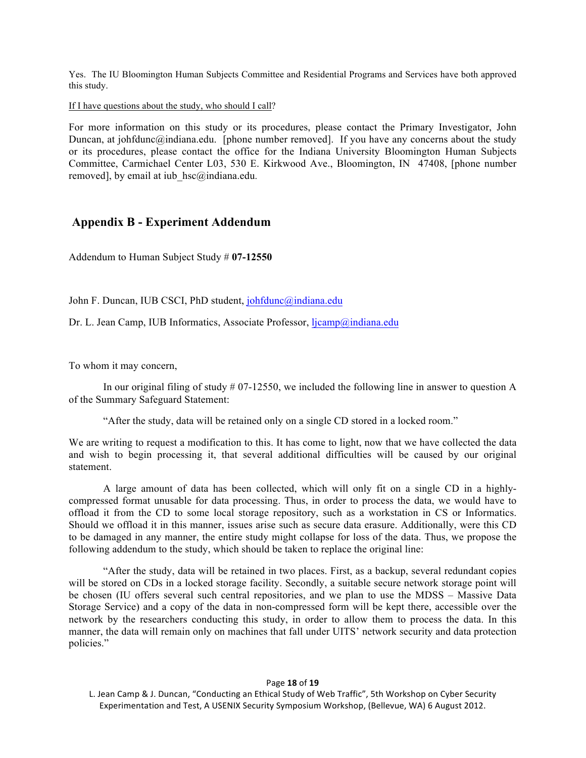Yes. The IU Bloomington Human Subjects Committee and Residential Programs and Services have both approved this study.

If I have questions about the study, who should I call?

For more information on this study or its procedures, please contact the Primary Investigator, John Duncan, at johfdunc@indiana.edu. [phone number removed]. If you have any concerns about the study or its procedures, please contact the office for the Indiana University Bloomington Human Subjects Committee, Carmichael Center L03, 530 E. Kirkwood Ave., Bloomington, IN 47408, [phone number removed], by email at iub hsc@indiana.edu.

# **Appendix B - Experiment Addendum**

Addendum to Human Subject Study # **07-12550**

John F. Duncan, IUB CSCI, PhD student, johfdunc@indiana.edu

Dr. L. Jean Camp, IUB Informatics, Associate Professor, ljcamp@indiana.edu

To whom it may concern,

In our original filing of study  $\#$  07-12550, we included the following line in answer to question A of the Summary Safeguard Statement:

"After the study, data will be retained only on a single CD stored in a locked room."

We are writing to request a modification to this. It has come to light, now that we have collected the data and wish to begin processing it, that several additional difficulties will be caused by our original statement.

A large amount of data has been collected, which will only fit on a single CD in a highlycompressed format unusable for data processing. Thus, in order to process the data, we would have to offload it from the CD to some local storage repository, such as a workstation in CS or Informatics. Should we offload it in this manner, issues arise such as secure data erasure. Additionally, were this CD to be damaged in any manner, the entire study might collapse for loss of the data. Thus, we propose the following addendum to the study, which should be taken to replace the original line:

"After the study, data will be retained in two places. First, as a backup, several redundant copies will be stored on CDs in a locked storage facility. Secondly, a suitable secure network storage point will be chosen (IU offers several such central repositories, and we plan to use the MDSS – Massive Data Storage Service) and a copy of the data in non-compressed form will be kept there, accessible over the network by the researchers conducting this study, in order to allow them to process the data. In this manner, the data will remain only on machines that fall under UITS' network security and data protection policies."

#### Page **18** of **19**